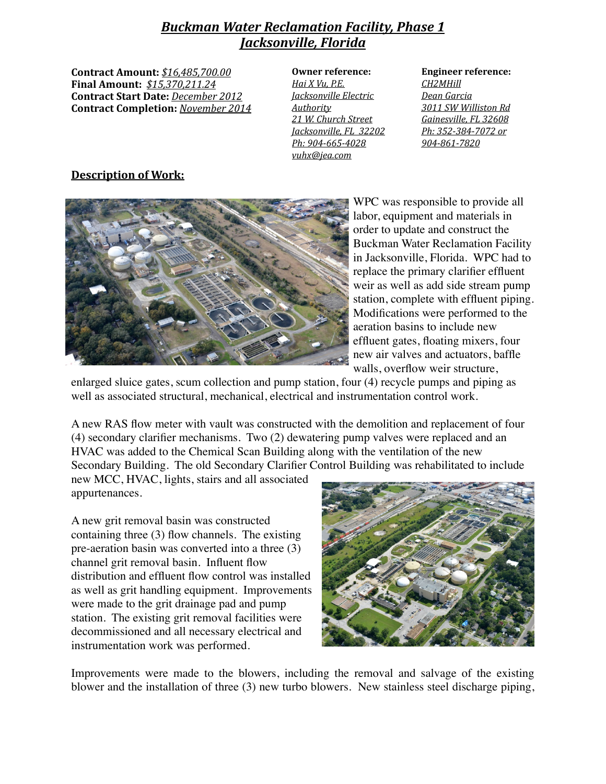## **Buckman Water Reclamation Facility, Phase 1** *Jacksonville, Florida*

**Contract Amount:** *\$16,485,700.00* **Final Amount:** *\$15,370,211.24* **Contract Start Date:** December 2012 **Contract Completion:** *November 2014* 

| <b>Owner reference:</b>                    | Engineer              |
|--------------------------------------------|-----------------------|
| <u>Hai X Vu, P.E.</u>                      | CH <sub>2</sub> MHill |
| <i><u><b>Jacksonville Electric</b></u></i> | Dean Gar              |
| Authority                                  | 3011 SW               |
| 21 W. Church Street                        | <b>Gainesvill</b>     |
| Jacksonville, FL 32202                     | Ph: 352-3             |
| Ph: 904-665-4028                           | 904-861-              |
| yuhx@jea.com                               |                       |

**Engineer reference:** *CH2MHill Dean Garcia 3011 SW Williston Rd*  Gainesville, FL 32608 *Ph: 352-384-7072 or 904-861-7820*

## Description of Work:



WPC was responsible to provide all labor, equipment and materials in order to update and construct the Buckman Water Reclamation Facility in Jacksonville, Florida. WPC had to replace the primary clarifier effluent weir as well as add side stream pump station, complete with effluent piping. Modifications were performed to the aeration basins to include new effluent gates, floating mixers, four new air valves and actuators, baffle walls, overflow weir structure,

enlarged sluice gates, scum collection and pump station, four (4) recycle pumps and piping as well as associated structural, mechanical, electrical and instrumentation control work.

A new RAS flow meter with vault was constructed with the demolition and replacement of four (4) secondary clarifier mechanisms. Two (2) dewatering pump valves were replaced and an HVAC was added to the Chemical Scan Building along with the ventilation of the new Secondary Building. The old Secondary Clarifier Control Building was rehabilitated to include

new MCC, HVAC, lights, stairs and all associated appurtenances.

A new grit removal basin was constructed containing three (3) flow channels. The existing pre-aeration basin was converted into a three (3) channel grit removal basin. Influent flow distribution and effluent flow control was installed as well as grit handling equipment. Improvements were made to the grit drainage pad and pump station. The existing grit removal facilities were decommissioned and all necessary electrical and instrumentation work was performed.



Improvements were made to the blowers, including the removal and salvage of the existing blower and the installation of three (3) new turbo blowers. New stainless steel discharge piping,